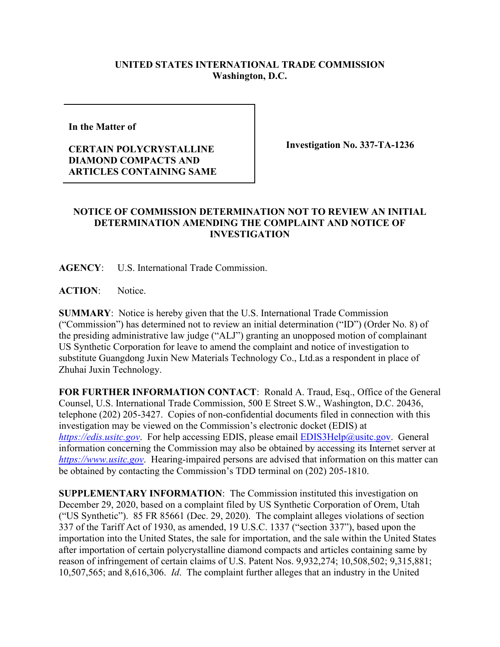## **UNITED STATES INTERNATIONAL TRADE COMMISSION Washington, D.C.**

**In the Matter of** 

## **CERTAIN POLYCRYSTALLINE DIAMOND COMPACTS AND ARTICLES CONTAINING SAME**

**Investigation No. 337-TA-1236**

## **NOTICE OF COMMISSION DETERMINATION NOT TO REVIEW AN INITIAL DETERMINATION AMENDING THE COMPLAINT AND NOTICE OF INVESTIGATION**

**AGENCY**: U.S. International Trade Commission.

**ACTION**: Notice.

**SUMMARY**: Notice is hereby given that the U.S. International Trade Commission ("Commission") has determined not to review an initial determination ("ID") (Order No. 8) of the presiding administrative law judge ("ALJ") granting an unopposed motion of complainant US Synthetic Corporation for leave to amend the complaint and notice of investigation to substitute Guangdong Juxin New Materials Technology Co., Ltd.as a respondent in place of Zhuhai Juxin Technology.

**FOR FURTHER INFORMATION CONTACT**: Ronald A. Traud, Esq., Office of the General Counsel, U.S. International Trade Commission, 500 E Street S.W., Washington, D.C. 20436, telephone (202) 205-3427. Copies of non-confidential documents filed in connection with this investigation may be viewed on the Commission's electronic docket (EDIS) at *[https://edis.usitc.gov](https://edis.usitc.gov/).* For help accessing EDIS, please email [EDIS3Help@usitc.gov.](mailto:EDIS3Help@usitc.gov) General information concerning the Commission may also be obtained by accessing its Internet server at *[https://www.usitc.gov](https://www.usitc.gov/)*. Hearing-impaired persons are advised that information on this matter can be obtained by contacting the Commission's TDD terminal on (202) 205-1810.

**SUPPLEMENTARY INFORMATION**: The Commission instituted this investigation on December 29, 2020, based on a complaint filed by US Synthetic Corporation of Orem, Utah ("US Synthetic"). 85 FR 85661 (Dec. 29, 2020). The complaint alleges violations of section 337 of the Tariff Act of 1930, as amended, 19 U.S.C. 1337 ("section 337"), based upon the importation into the United States, the sale for importation, and the sale within the United States after importation of certain polycrystalline diamond compacts and articles containing same by reason of infringement of certain claims of U.S. Patent Nos. 9,932,274; 10,508,502; 9,315,881; 10,507,565; and 8,616,306. *Id*. The complaint further alleges that an industry in the United